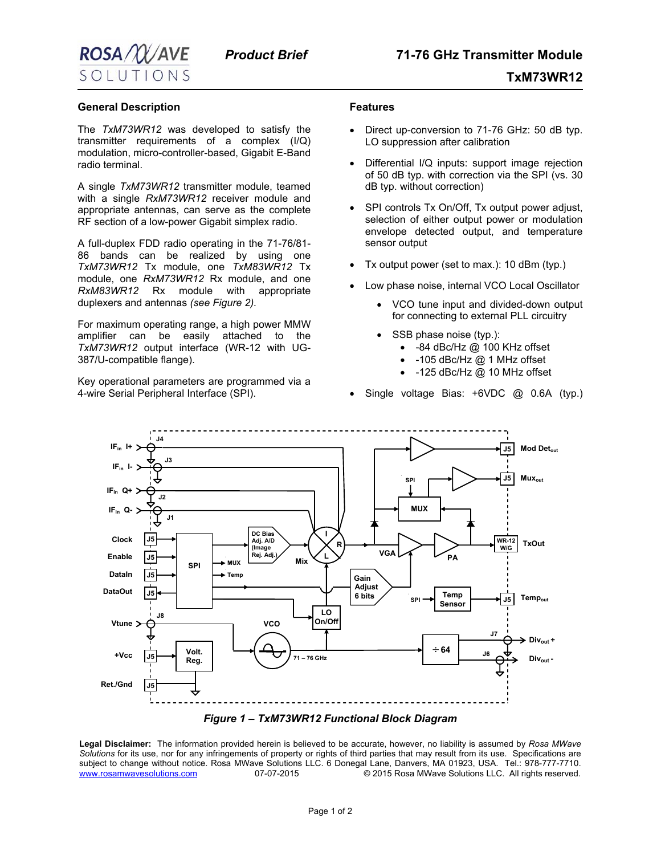

## **General Description**

The *TxM73WR12* was developed to satisfy the transmitter requirements of a complex (I/Q) modulation, micro-controller-based, Gigabit E-Band radio terminal.

A single *TxM73WR12* transmitter module, teamed with a single *RxM73WR12* receiver module and appropriate antennas, can serve as the complete RF section of a low-power Gigabit simplex radio.

A full-duplex FDD radio operating in the 71-76/81- 86 bands can be realized by using one *TxM73WR12* Tx module, one *TxM83WR12* Tx module, one *RxM73WR12* Rx module, and one *RxM83WR12* Rx module with appropriate duplexers and antennas *(see Figure 2).* 

For maximum operating range, a high power MMW amplifier can be easily attached to the *TxM73WR12* output interface (WR-12 with UG-387/U-compatible flange).

Key operational parameters are programmed via a 4-wire Serial Peripheral Interface (SPI).

## **Features**

- Direct up-conversion to 71-76 GHz: 50 dB typ. LO suppression after calibration
- Differential I/Q inputs: support image rejection of 50 dB typ. with correction via the SPI (vs. 30 dB typ. without correction)
- SPI controls Tx On/Off, Tx output power adjust, selection of either output power or modulation envelope detected output, and temperature sensor output
- Tx output power (set to max.): 10 dBm (typ.)
- Low phase noise, internal VCO Local Oscillator
	- VCO tune input and divided-down output for connecting to external PLL circuitry
	- SSB phase noise (typ.):
		- -84 dBc/Hz @ 100 KHz offset
		- -105 dBc/Hz @ 1 MHz offset
		- -125 dBc/Hz @ 10 MHz offset
- Single voltage Bias: +6VDC @ 0.6A (typ.)





**Legal Disclaimer:** The information provided herein is believed to be accurate, however, no liability is assumed by *Rosa MWave Solutions* for its use, nor for any infringements of property or rights of third parties that may result from its use. Specifications are subject to change without notice. Rosa MWave Solutions LLC. 6 Donegal Lane, Danvers, MA 01923, USA. Tel.: 978-777-7710.<br>.www.rosamwavesolutions.com 07-07-2015 © 2015 Rosa MWave Solutions LLC. All rights reserved. 07-07-2015 <sup>C</sup> 2015 Rosa MWave Solutions LLC. All rights reserved.